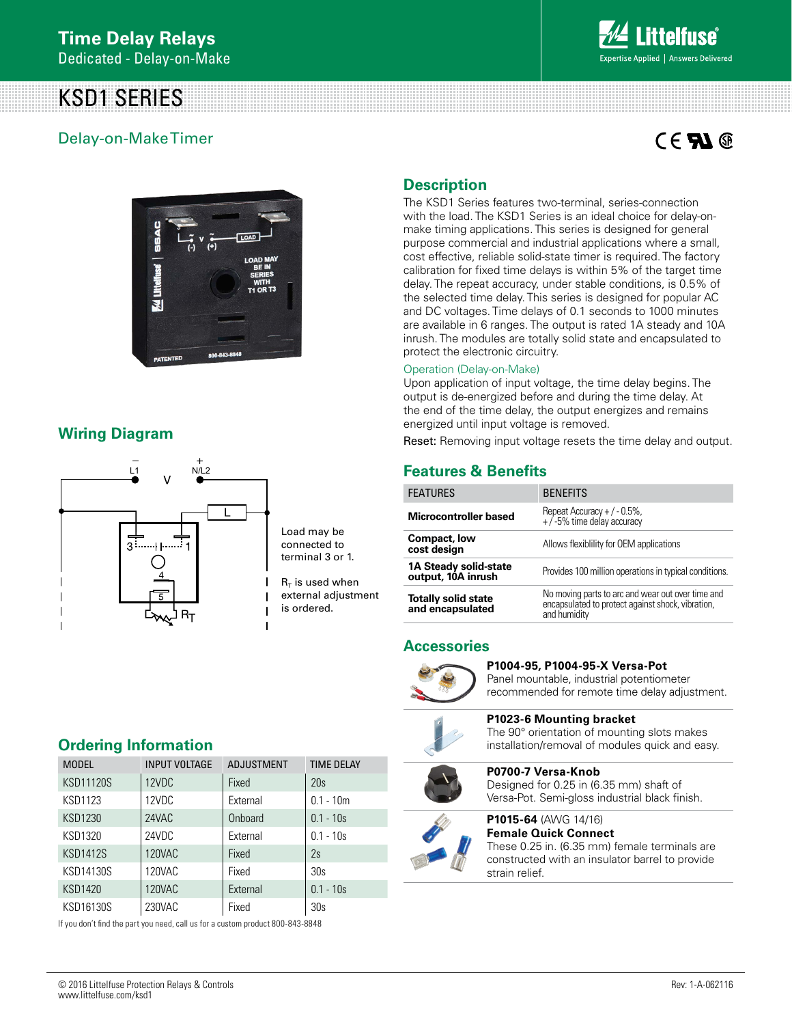# KSD1 SERIES

# Delay-on-Make Timer

# $C \in \mathbf{F}$



# **Wiring Diagram**



Load may be connected to terminal 3 or 1.

 $R<sub>\tau</sub>$  is used when external adjustment is ordered.

# **Description**

The KSD1 Series features two-terminal, series-connection with the load. The KSD1 Series is an ideal choice for delay-onmake timing applications. This series is designed for general purpose commercial and industrial applications where a small, cost effective, reliable solid-state timer is required. The factory calibration for fixed time delays is within 5% of the target time delay. The repeat accuracy, under stable conditions, is 0.5% of the selected time delay. This series is designed for popular AC and DC voltages. Time delays of 0.1 seconds to 1000 minutes are available in 6 ranges. The output is rated 1A steady and 10A inrush. The modules are totally solid state and encapsulated to protect the electronic circuitry.

### Operation (Delay-on-Make)

Upon application of input voltage, the time delay begins. The output is de-energized before and during the time delay. At the end of the time delay, the output energizes and remains energized until input voltage is removed.

Reset: Removing input voltage resets the time delay and output.

# **Features & Benefits**

| <b>FEATURES</b>                                    | <b>BENEFITS</b>                                                                                                        |  |
|----------------------------------------------------|------------------------------------------------------------------------------------------------------------------------|--|
| Microcontroller based                              | Repeat Accuracy $+/-0.5\%$ ,<br>$+$ / -5% time delay accuracy                                                          |  |
| <b>Compact, low</b><br>cost design                 | Allows flexibility for OEM applications                                                                                |  |
| <b>1A Steady solid-state</b><br>output, 10A inrush | Provides 100 million operations in typical conditions.                                                                 |  |
| <b>Totally solid state</b><br>and encapsulated     | No moving parts to arc and wear out over time and<br>encapsulated to protect against shock, vibration,<br>and humidity |  |

**P1004-95, P1004-95-X Versa-Pot**

## **Accessories**

Panel mountable, industrial potentiometer recommended for remote time delay adjustment.



**P1023-6 Mounting bracket**  The 90° orientation of mounting slots makes installation/removal of modules quick and easy.

### **P0700-7 Versa-Knob**  Designed for 0.25 in (6.35 mm) shaft of Versa-Pot. Semi-gloss industrial black finish.



**P1015-64** (AWG 14/16) **Female Quick Connect** These 0.25 in. (6.35 mm) female terminals are constructed with an insulator barrel to provide strain relief.

# **Ordering Information**

| <b>MODEL</b>     | <b>INPUT VOLTAGE</b> | <b>ADJUSTMENT</b> | <b>TIME DELAY</b> |
|------------------|----------------------|-------------------|-------------------|
| <b>KSD11120S</b> | 12VDC                | Fixed             | 20s               |
| <b>KSD1123</b>   | 12VDC                | External          | $0.1 - 10m$       |
| <b>KSD1230</b>   | 24VAC                | Onboard           | $0.1 - 10s$       |
| <b>KSD1320</b>   | 24VDC                | External          | $0.1 - 10s$       |
| <b>KSD1412S</b>  | 120VAC               | Fixed             | 2s                |
| KSD14130S        | 120VAC               | Fixed             | 30s               |
| <b>KSD1420</b>   | 120VAC               | External          | $0.1 - 10s$       |
| KSD16130S        | 230VAC               | Fixed             | 30s               |

If you don't find the part you need, call us for a custom product 800-843-8848